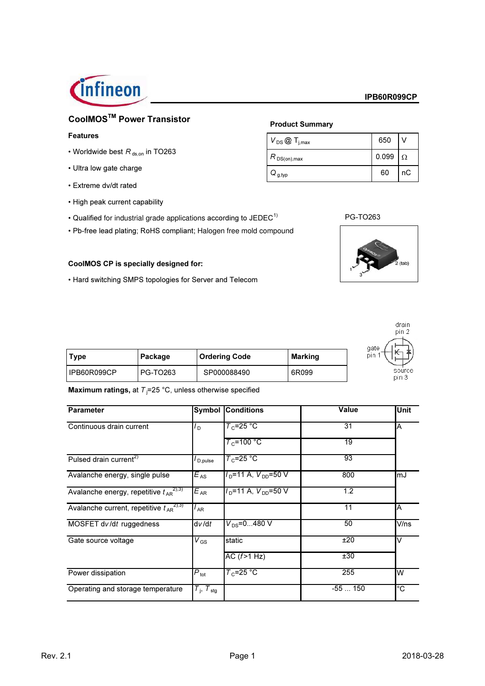

# CoolMOS<sup>™</sup> Power Transistor

#### **Features**

- Worldwide best  $R_{\text{ds,on}}$  in TO263
- Ultra low gate charge
- Extreme dv/dt rated
- High peak current capability
- Qualified for industrial grade applications according to JEDEC<sup>1)</sup>
- Pb-free lead plating; RoHS compliant; Halogen free mold compound

#### CoolMOS CP is specially designed for:

• Hard switching SMPS topologies for Server and Telecom

# **Product Summary**

| $V_{DS}$ $\textcircled{1}_{j,max}$             | 650   |          |
|------------------------------------------------|-------|----------|
| $R_{\,\mathsf{DS}( \mathsf{on}),\mathsf{max}}$ | 0.099 | $\Omega$ |
| $Q_{\mathsf{g},\mathsf{typ}}$                  | 60    | nС       |





| Type        | Package         | <b>Ordering Code</b> | Marking |  |
|-------------|-----------------|----------------------|---------|--|
| IPB60R099CP | <b>PG-TO263</b> | SP000088490          | 6R099   |  |

Maximum ratings, at  $T_1=25$  °C, unless otherwise specified

| <b>Parameter</b>                                |                          | <b>Symbol Conditions</b> | <b>Value</b>     | <b>Unit</b> |
|-------------------------------------------------|--------------------------|--------------------------|------------------|-------------|
| Continuous drain current                        | O I                      | $T_c = 25 °C$            | 31               | ΙA          |
|                                                 |                          | $T_c$ =100 °C            | 19               |             |
| Pulsed drain current <sup>2)</sup>              | D,pulse                  | $T_c = 25 °C$            | 93               |             |
| Avalanche energy, single pulse                  | $E_{AS}$                 | $VD=11 A, VDD=50 V$      | 800              | lmJ         |
| Avalanche energy, repetitive $t_{AP}^{(2),3)}$  | $E_{AR}$                 | $ID$ =11 A, $VDD$ =50 V  | $\overline{1.2}$ |             |
| Avalanche current, repetitive $t_{AR}^{(2),3)}$ | <sup>I</sup> AR          |                          | 11               | ΙA          |
| MOSFET dv/dt ruggedness                         | dv/dt                    | $V_{DS} = 0480$ V        | 50               | V/ns        |
| Gate source voltage                             | $V\rm_{GS}$              | static                   | ±20              | V           |
|                                                 |                          | AC $(f>1 Hz)$            | ±30              |             |
| Power dissipation                               | $P_{\text{tot}}$         | $T_c = 25 °C$            | 255              | lw          |
| Operating and storage temperature               | $T_i$ , $T_{\text{stg}}$ |                          | $-55150$         | $^{\circ}C$ |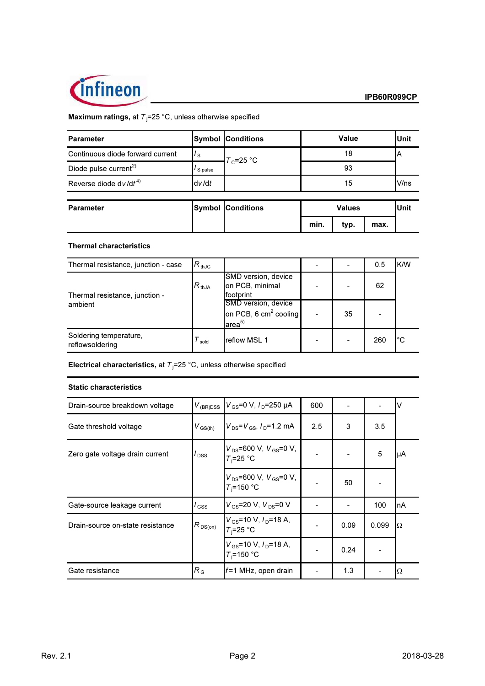

# **Maximum ratings, at**  $T_j = 25 \degree C$ , unless otherwise specified

| <b>Parameter</b>                  |                      | <b>Symbol Conditions</b> | Value         |      |      | <b>Unit</b> |
|-----------------------------------|----------------------|--------------------------|---------------|------|------|-------------|
| Continuous diode forward current  | $I_{\rm S}$          | $T_c = 25 °C$            | 18            |      |      | ΙA          |
| Diode pulse current <sup>2)</sup> | I <sub>S,pulse</sub> |                          | 93            |      |      |             |
| Reverse diode dv/d $t^{4}$        | dv/dt                |                          | 15            |      |      | V/ns        |
| <b>Parameter</b>                  |                      | <b>Symbol Conditions</b> | <b>Values</b> |      |      | Unit        |
|                                   |                      |                          | min.          | typ. | max. |             |

## **Thermal characteristics**

| Thermal resistance, junction - case       | $R_{thJC}$ |                                                                     |    | 0.5 | K/W |
|-------------------------------------------|------------|---------------------------------------------------------------------|----|-----|-----|
| Thermal resistance, junction -            | $R_{thJA}$ | SMD version, device<br>on PCB, minimal<br>footprint                 |    | 62  |     |
| ambient                                   |            | SMD version, device<br>on PCB, 6 $cm2$ cooling<br>area <sup>5</sup> | 35 |     |     |
| Soldering temperature,<br>reflowsoldering | sold       | reflow MSL 1                                                        |    | 260 | l°C |

Electrical characteristics, at  $T_j = 25$  °C, unless otherwise specified

#### **Static characteristics**

| Drain-source breakdown voltage   | $V_{(BR)DSS}$            | $V_{\rm{GS}}$ =0 V, $I_{\rm{D}}$ =250 µA                       | 600 |      |       | I٧  |
|----------------------------------|--------------------------|----------------------------------------------------------------|-----|------|-------|-----|
| Gate threshold voltage           | $V_{\rm GS(th)}$         | $V_{DS} = V_{GS}$ , $I_{D} = 1.2$ mA                           | 2.5 | 3    | 3.5   |     |
| Zero gate voltage drain current  | $\overline{I_{\rm DSS}}$ | $V_{DS}$ =600 V, $V_{GS}$ =0 V,<br>$T_i = 25$ °C               |     |      | 5     | IμA |
|                                  |                          | $V_{DS}$ =600 V, $V_{GS}$ =0 V,<br>$T_i = 150$ °C              |     | 50   |       |     |
| Gate-source leakage current      | $\mathsf{GSS}$           | $V_{GS}$ =20 V, $V_{DS}$ =0 V                                  |     |      | 100   | InA |
| Drain-source on-state resistance | $R_{DS(on)}$             | $V_{\rm GS}$ =10 V, $I_{\rm D}$ =18 A,<br>$T_i = 25$ °C        |     | 0.09 | 0.099 | IΩ  |
|                                  |                          | $V_{\text{GS}}$ =10 V, $I_{\text{D}}$ =18 A,<br>$T_i = 150 °C$ |     | 0.24 |       |     |
| Gate resistance                  | $R_{\rm G}$              | $f = 1$ MHz, open drain                                        |     | 1.3  |       | IΩ  |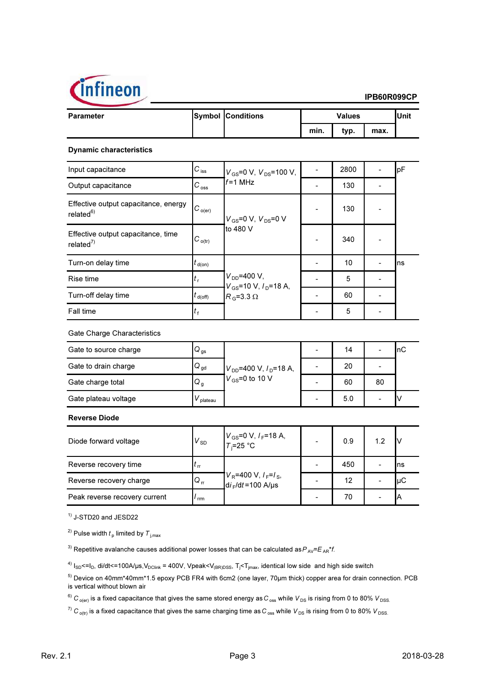

| <b>Parameter</b>                                              |                                | <b>Symbol Conditions</b>                                                       | <b>Values</b> |      |      | Unit |
|---------------------------------------------------------------|--------------------------------|--------------------------------------------------------------------------------|---------------|------|------|------|
|                                                               |                                |                                                                                | min.          | typ. | max. |      |
| <b>Dynamic characteristics</b>                                |                                |                                                                                |               |      |      |      |
| Input capacitance                                             | $C_{\,\mathrm{iss}}$           | $V_{GS}$ =0 V, $V_{DS}$ =100 V,<br>$f = 1$ MHz                                 |               | 2800 |      | pF   |
| Output capacitance                                            | $C_{\text{oss}}$               |                                                                                |               | 130  |      |      |
| Effective output capacitance, energy<br>related <sup>6)</sup> | $C_{o(er)}$                    | $V_{GS}$ =0 V, $V_{DS}$ =0 V<br>to 480 V                                       |               | 130  |      |      |
| Effective output capacitance, time<br>related $7$             | $C_{o(tr)}$                    |                                                                                |               | 340  |      |      |
| Turn-on delay time                                            | $t_{\sf d(on)}$                |                                                                                |               | 10   |      | Ins  |
| Rise time                                                     | $t_{\rm r}$                    | $V_{DD} = 400 V,$<br>$V_{GS}$ =10 V, $I_D$ =18 A,<br>$R_{\rm G}$ =3.3 $\Omega$ |               | 5    |      |      |
| Turn-off delay time                                           | $t_{\mathsf{d}(\mathsf{off})}$ |                                                                                |               | 60   |      |      |
| Fall time                                                     | $t_{\rm f}$                    |                                                                                |               | 5    |      |      |

| Gate to source charge | $Q_{gs}$ | $V_{DD}$ =400 V, $I_D$ =18 A,<br>$V_{\text{GS}}$ =0 to 10 V | 14  |    | ∣nC |
|-----------------------|----------|-------------------------------------------------------------|-----|----|-----|
| Gate to drain charge  | $Q_{gd}$ |                                                             | 20  |    |     |
| Gate charge total     | $Q_g$    |                                                             | 60  | 80 |     |
| Gate plateau voltage  | plateau  |                                                             | 5.0 |    |     |

**Reverse Diode** 

| Diode forward voltage         | $V_{SD}$                   | $V_{\text{GS}} = 0 \text{ V}, I_F = 18 \text{ A},$<br>$T_i = 25 \text{ °C}$    | 0.9 | 1.2 |    |
|-------------------------------|----------------------------|--------------------------------------------------------------------------------|-----|-----|----|
| Reverse recovery time         | $\mathfrak{c}_{\text{rr}}$ | $V_R$ =400 V, $I_F$ = $I_S$ ,<br>d <i>i</i> <sub>F</sub> /d <i>t</i> =100 A/µs | 450 |     | ns |
| Reverse recovery charge       | $Q_{rr}$                   |                                                                                | 12  |     | μC |
| Peak reverse recovery current | rm                         |                                                                                | 70  |     |    |

 $<sup>1</sup>$  J-STD20 and JESD22</sup>

<sup>2)</sup> Pulse width  $t_p$  limited by  $T_{j, max}$ 

<sup>3)</sup> Repetitive avalanche causes additional power losses that can be calculated as  $P_{AV} = E_{AR} * f$ .

<sup>4)</sup>  $I_{SD}$  <= $I_D$ , di/dt <= 100A/µs,  $V_{DClink}$  = 400V, Vpeak < $V_{(BR)DSS}$ ,  $T_i$  <  $T_{imax}$ , identical low side and high side switch

<sup>5)</sup> Device on 40mm\*40mm\*1.5 epoxy PCB FR4 with 6cm2 (one layer, 70µm thick) copper area for drain connection. PCB is vertical without blown air

<sup>6)</sup>  $C_{o(er)}$  is a fixed capacitance that gives the same stored energy as  $C_{oss}$  while  $V_{DS}$  is rising from 0 to 80%  $V_{DSS}$ .

 $^{7)}$  C<sub>o(tr)</sub> is a fixed capacitance that gives the same charging time as C<sub>oss</sub> while V<sub>DS</sub> is rising from 0 to 80% V<sub>DSS.</sub>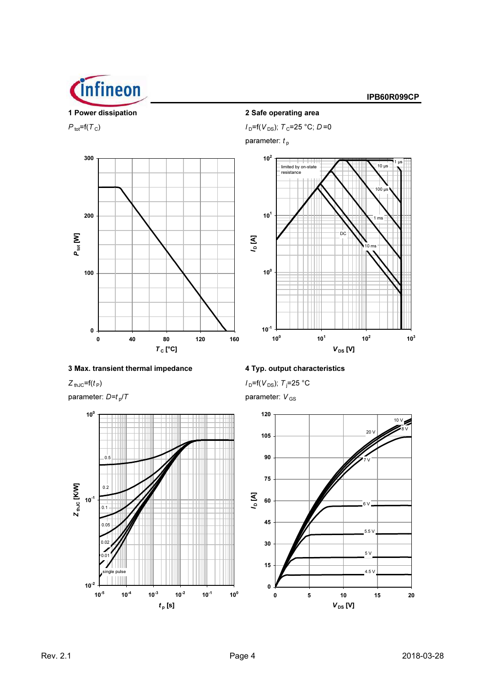

# $P_{\text{tot}} = f(T_C)$



# 3 Max. transient thermal impedance

 $Z_{thJC} = f(t_P)$ 

parameter:  $D=t_p/T$ 



# 2 Safe operating area

 $I_D = f(V_{DS})$ ;  $T_C = 25 °C$ ;  $D = 0$ 

parameter:  $t_{\rm p}$ 



IPB60R099CP

4 Typ. output characteristics

 $I_D = f(V_{DS})$ ; T<sub>j</sub>=25 °C

parameter:  $V_{GS}$ 

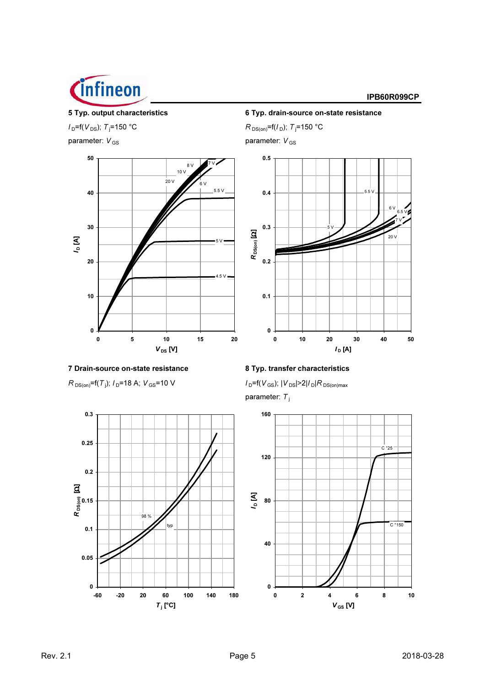

parameter:  $V_{GS}$  parameter:  $V_{GS}$ 



7 Drain-source on-state resistance 8 Typ. transfer characteristics

 $R_{DS(on)}$ =f(T<sub>j</sub>);  $I_D$ =18 A;  $V_{GS}$ =10 V



5 Typ. output characteristics 6 Typ. drain-source on-state resistance  $l_{\text{D}} = f(V_{\text{DS}}); T_{\text{j}} = 150 \text{ °C}$   $R_{\text{DS(on)}} = f(l_{\text{D}}); T_{\text{j}} = 150 \text{ °C}$ 



 $I_D = f(V_{GS})$ ;  $|V_{DS}| > 2 |I_D| R_{DS(on)max}$ parameter:  $T_j$ 

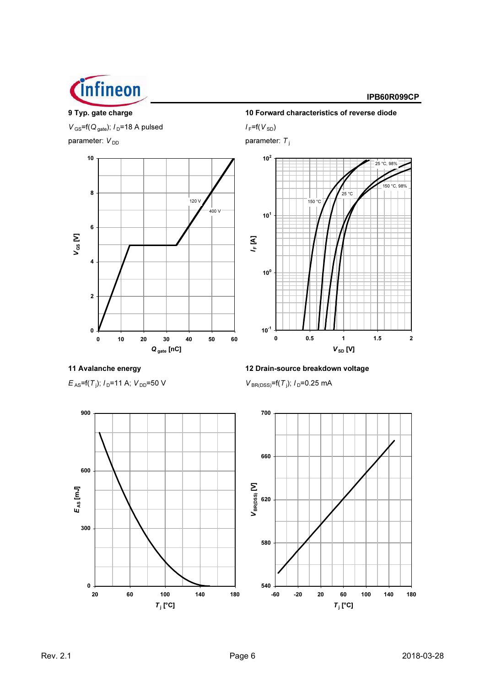

9 Typ. gate charge  $V_{\text{GS}}$ =f(Q<sub>gate</sub>);  $I_{\text{D}}$ =18 A pulsed parameter: V<sub>DD</sub>



10 Forward characteristics of reverse diode  $I_F = f(V_{SD})$ 

parameter:  $T_j$ 



11 Avalanche energy

 $E_{AS}$ =f(T<sub>j</sub>);  $I_D$ =11 A;  $V_{DD}$ =50 V

12 Drain-source breakdown voltage  $V_{BR(DSS)}$ =f(T<sub>j</sub>); I<sub>D</sub>=0.25 mA



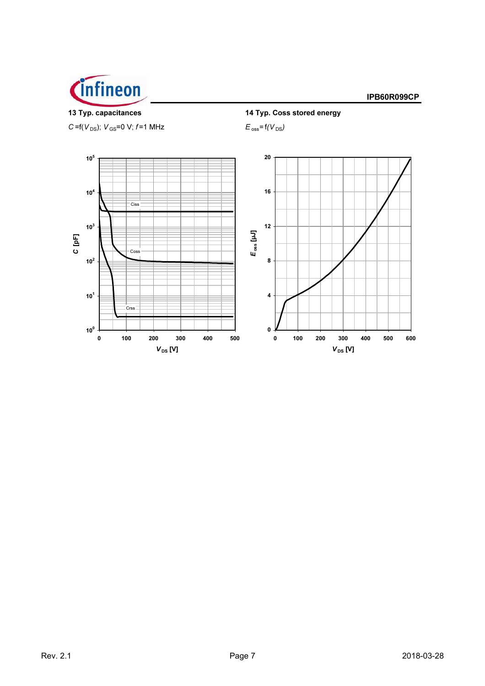



C=f( $V_{DS}$ );  $V_{GS}$ =0 V; f=1 MHz



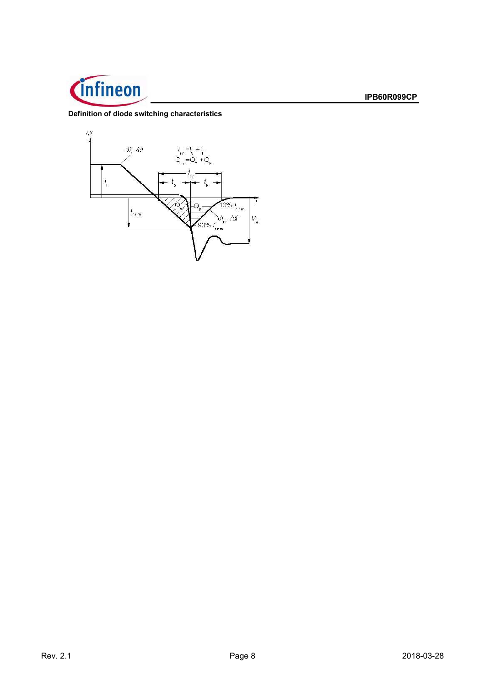

# Definition of diode switching characteristics

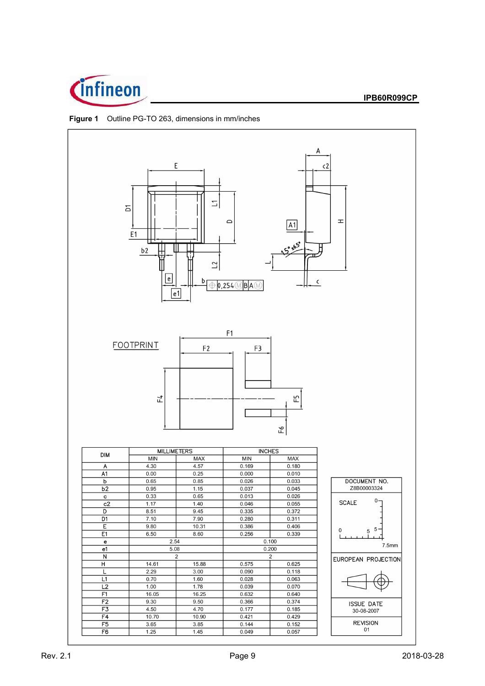



**Figure 1** Outline PG-TO 263, dimensions in mm/inches